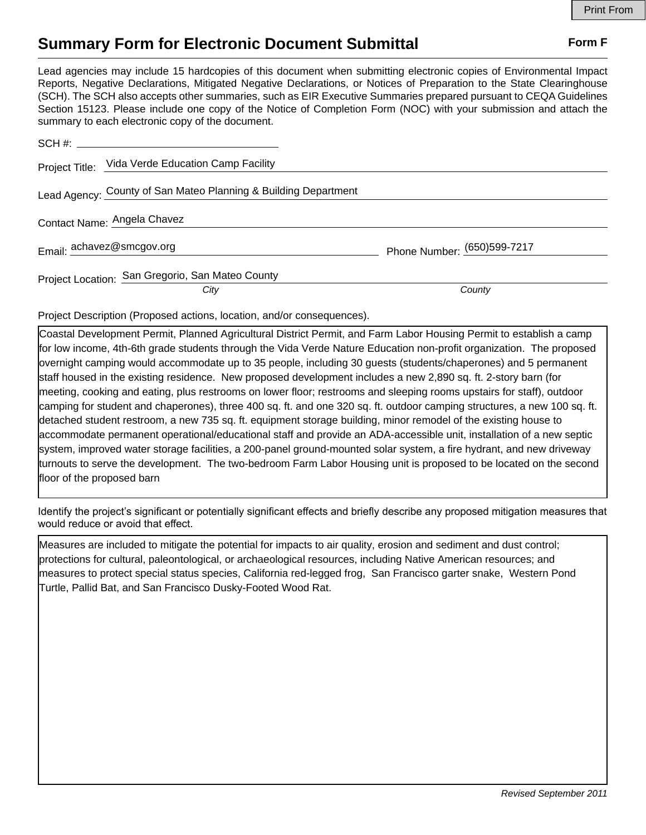## **Summary Form for Electronic Document Submittal Form F Form F**

Lead agencies may include 15 hardcopies of this document when submitting electronic copies of Environmental Impact Reports, Negative Declarations, Mitigated Negative Declarations, or Notices of Preparation to the State Clearinghouse (SCH). The SCH also accepts other summaries, such as EIR Executive Summaries prepared pursuant to CEQA Guidelines Section 15123. Please include one copy of the Notice of Completion Form (NOC) with your submission and attach the summary to each electronic copy of the document.

| Project Title: Vida Verde Education Camp Facility               |                             |
|-----------------------------------------------------------------|-----------------------------|
| Lead Agency: County of San Mateo Planning & Building Department |                             |
| Contact Name: Angela Chavez                                     |                             |
| Email: achavez@smcgov.org                                       | Phone Number: (650)599-7217 |
| Project Location: San Gregorio, San Mateo County                |                             |
| City                                                            | County                      |

Project Description (Proposed actions, location, and/or consequences).

Coastal Development Permit, Planned Agricultural District Permit, and Farm Labor Housing Permit to establish a camp for low income, 4th-6th grade students through the Vida Verde Nature Education non-profit organization. The proposed overnight camping would accommodate up to 35 people, including 30 guests (students/chaperones) and 5 permanent staff housed in the existing residence. New proposed development includes a new 2,890 sq. ft. 2-story barn (for meeting, cooking and eating, plus restrooms on lower floor; restrooms and sleeping rooms upstairs for staff), outdoor camping for student and chaperones), three 400 sq. ft. and one 320 sq. ft. outdoor camping structures, a new 100 sq. ft. detached student restroom, a new 735 sq. ft. equipment storage building, minor remodel of the existing house to accommodate permanent operational/educational staff and provide an ADA-accessible unit, installation of a new septic system, improved water storage facilities, a 200-panel ground-mounted solar system, a fire hydrant, and new driveway turnouts to serve the development. The two-bedroom Farm Labor Housing unit is proposed to be located on the second floor of the proposed barn

Identify the project's significant or potentially significant effects and briefly describe any proposed mitigation measures that would reduce or avoid that effect.

Measures are included to mitigate the potential for impacts to air quality, erosion and sediment and dust control; protections for cultural, paleontological, or archaeological resources, including Native American resources; and measures to protect special status species, California red-legged frog, San Francisco garter snake, Western Pond Turtle, Pallid Bat, and San Francisco Dusky-Footed Wood Rat.